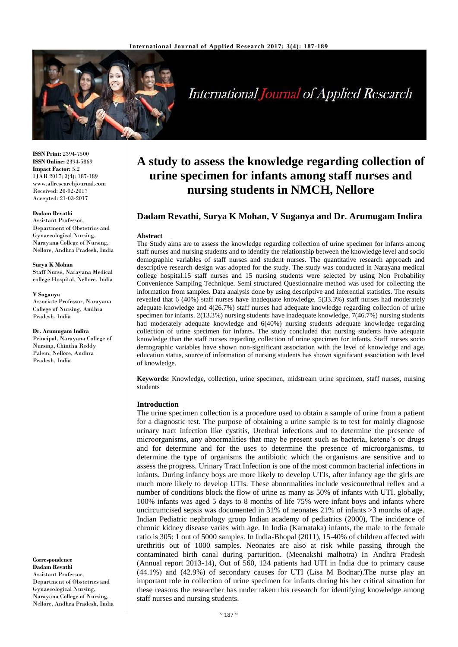

# International Journal of Applied Research

**ISSN Print:** 2394-7500 **ISSN Online:** 2394-5869 **Impact Factor:** 5.2 IJAR 2017; 3(4): 187-189 www.allresearchjournal.com Received: 20-02-2017 Accepted: 21-03-2017

#### **Dadam Revathi**

Assistant Professor, Department of Obstetrics and Gynaecological Nursing, Narayana College of Nursing, Nellore, Andhra Pradesh, India

#### **Surya K Mohan**

Staff Nurse, Narayana Medical college Hospital, Nellore, India

#### **V Suganya**

Associate Professor, Narayana College of Nursing, Andhra Pradesh, India

**Dr. Arumugam Indira** Principal, Narayana College of Nursing, Chintha Reddy Palem, Nellore, Andhra Pradesh, India

**Correspondence Dadam Revathi** Assistant Professor, Department of Obstetrics and Gynaecological Nursing, Narayana College of Nursing, Nellore, Andhra Pradesh, India

## **A study to assess the knowledge regarding collection of urine specimen for infants among staff nurses and nursing students in NMCH, Nellore**

## **Dadam Revathi, Surya K Mohan, V Suganya and Dr. Arumugam Indira**

#### **Abstract**

The Study aims are to assess the knowledge regarding collection of urine specimen for infants among staff nurses and nursing students and to identify the relationship between the knowledge level and socio demographic variables of staff nurses and student nurses. The quantitative research approach and descriptive research design was adopted for the study. The study was conducted in Narayana medical college hospital.15 staff nurses and 15 nursing students were selected by using Non Probability Convenience Sampling Technique. Semi structured Questionnaire method was used for collecting the information from samples. Data analysis done by using descriptive and inferential statistics. The results revealed that 6 (40%) staff nurses have inadequate knowledge, 5(33.3%) staff nurses had moderately adequate knowledge and 4(26.7%) staff nurses had adequate knowledge regarding collection of urine specimen for infants. 2(13.3%) nursing students have inadequate knowledge, 7(46.7%) nursing students had moderately adequate knowledge and 6(40%) nursing students adequate knowledge regarding collection of urine specimen for infants. The study concluded that nursing students have adequate knowledge than the staff nurses regarding collection of urine specimen for infants. Staff nurses socio demographic variables have shown non-significant association with the level of knowledge and age, education status, source of information of nursing students has shown significant association with level of knowledge.

**Keywords:** Knowledge, collection, urine specimen, midstream urine specimen, staff nurses, nursing students

## **Introduction**

The urine specimen collection is a procedure used to obtain a sample of urine from a patient for a diagnostic test. The purpose of obtaining a urine sample is to test for mainly diagnose urinary tract infection like cystitis, Urethral infections and to determine the presence of microorganisms, any abnormalities that may be present such as bacteria, ketene's or drugs and for determine and for the uses to determine the presence of microorganisms, to determine the type of organisms the antibiotic which the organisms are sensitive and to assess the progress. Urinary Tract Infection is one of the most common bacterial infections in infants. During infancy boys are more likely to develop UTIs, after infancy age the girls are much more likely to develop UTIs. These abnormalities include vesicourethral reflex and a number of conditions block the flow of urine as many as 50% of infants with UTI. globally, 100% infants was aged 5 days to 8 months of life 75% were infant boys and infants where uncircumcised sepsis was documented in 31% of neonates 21% of infants >3 months of age. Indian Pediatric nephrology group Indian academy of pediatrics (2000), The incidence of chronic kidney disease varies with age. In India (Karnataka) infants, the male to the female ratio is 305: 1 out of 5000 samples. In India-Bhopal (2011), 15-40% of children affected with urethritis out of 1000 samples. Neonates are also at risk while passing through the contaminated birth canal during parturition. (Meenakshi malhotra) In Andhra Pradesh (Annual report 2013-14), Out of 560, 124 patients had UTI in India due to primary cause (44.1%) and (42.9%) of secondary causes for UTI (Lisa M Bodnar).The nurse play an important role in collection of urine specimen for infants during his her critical situation for these reasons the researcher has under taken this research for identifying knowledge among staff nurses and nursing students.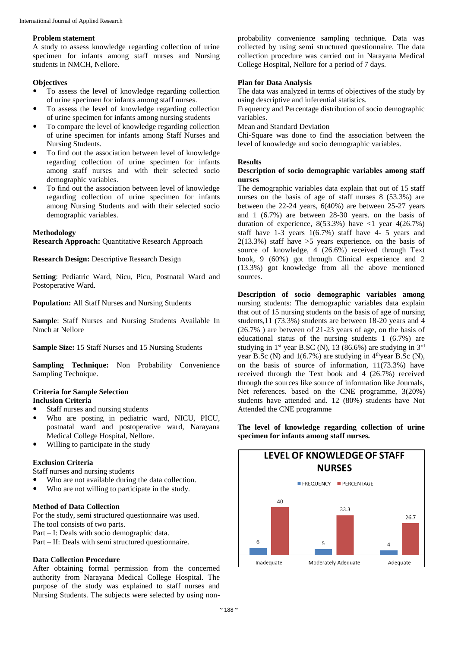#### **Problem statement**

A study to assess knowledge regarding collection of urine specimen for infants among staff nurses and Nursing students in NMCH, Nellore.

#### **Objectives**

- To assess the level of knowledge regarding collection of urine specimen for infants among staff nurses.
- To assess the level of knowledge regarding collection of urine specimen for infants among nursing students
- To compare the level of knowledge regarding collection of urine specimen for infants among Staff Nurses and Nursing Students.
- To find out the association between level of knowledge regarding collection of urine specimen for infants among staff nurses and with their selected socio demographic variables.
- To find out the association between level of knowledge regarding collection of urine specimen for infants among Nursing Students and with their selected socio demographic variables.

#### **Methodology**

**Research Approach:** Ouantitative Research Approach

**Research Design:** Descriptive Research Design

**Setting**: Pediatric Ward, Nicu, Picu, Postnatal Ward and Postoperative Ward.

**Population:** All Staff Nurses and Nursing Students

**Sample**: Staff Nurses and Nursing Students Available In Nmch at Nellore

**Sample Size:** 15 Staff Nurses and 15 Nursing Students

**Sampling Technique:** Non Probability Convenience Sampling Technique.

## **Criteria for Sample Selection**

## **Inclusion Criteria**

- Staff nurses and nursing students
- Who are posting in pediatric ward, NICU, PICU, postnatal ward and postoperative ward, Narayana Medical College Hospital, Nellore.
- Willing to participate in the study

## **Exclusion Criteria**

Staff nurses and nursing students

- Who are not available during the data collection.
- Who are not willing to participate in the study.

#### **Method of Data Collection**

For the study, semi structured questionnaire was used. The tool consists of two parts.

Part – I: Deals with socio demographic data.

Part – II: Deals with semi structured questionnaire.

#### **Data Collection Procedure**

After obtaining formal permission from the concerned authority from Narayana Medical College Hospital. The purpose of the study was explained to staff nurses and Nursing Students. The subjects were selected by using non-

probability convenience sampling technique. Data was collected by using semi structured questionnaire. The data collection procedure was carried out in Narayana Medical College Hospital, Nellore for a period of 7 days.

#### **Plan for Data Analysis**

The data was analyzed in terms of objectives of the study by using descriptive and inferential statistics.

Frequency and Percentage distribution of socio demographic variables.

Mean and Standard Deviation

Chi-Square was done to find the association between the level of knowledge and socio demographic variables.

#### **Results**

#### **Description of socio demographic variables among staff nurses**

The demographic variables data explain that out of 15 staff nurses on the basis of age of staff nurses 8 (53.3%) are between the 22-24 years, 6(40%) are between 25-27 years and 1 (6.7%) are between 28-30 years. on the basis of duration of experience,  $8(53.3%)$  have <1 year 4(26.7%) staff have  $1-3$  years  $1(6.7%)$  staff have  $4-5$  years and  $2(13.3\%)$  staff have  $>5$  years experience. on the basis of source of knowledge, 4 (26.6%) received through Text book, 9 (60%) got through Clinical experience and 2 (13.3%) got knowledge from all the above mentioned sources.

**Description of socio demographic variables among**  nursing students: The demographic variables data explain that out of 15 nursing students on the basis of age of nursing students,11 (73.3%) students are between 18-20 years and 4 (26.7% ) are between of 21-23 years of age, on the basis of educational status of the nursing students 1 (6.7%) are studying in  $1<sup>st</sup>$  year B.SC (N), 13 (86.6%) are studying in  $3<sup>rd</sup>$ year B.Sc (N) and  $1(6.7%)$  are studying in  $4<sup>th</sup>$ year B.Sc (N), on the basis of source of information, 11(73.3%) have received through the Text book and 4 (26.7%) received through the sources like source of information like Journals, Net references. based on the CNE programme, 3(20%) students have attended and. 12 (80%) students have Not Attended the CNE programme

**The level of knowledge regarding collection of urine specimen for infants among staff nurses.**